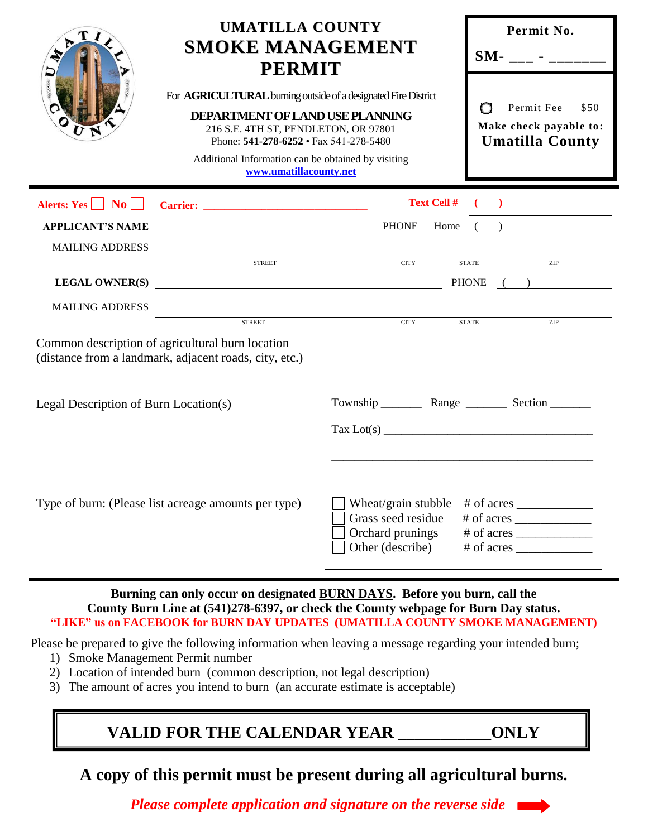|                                                                                                                                                                   | <b>UMATILLA COUNTY</b><br><b>SMOKE MANAGEMENT</b><br><b>PERMIT</b>                                                                                                                                                                                                                |                                                                                                                                                              | Permit No.<br>$SM-$ - _______                                               |  |  |  |
|-------------------------------------------------------------------------------------------------------------------------------------------------------------------|-----------------------------------------------------------------------------------------------------------------------------------------------------------------------------------------------------------------------------------------------------------------------------------|--------------------------------------------------------------------------------------------------------------------------------------------------------------|-----------------------------------------------------------------------------|--|--|--|
|                                                                                                                                                                   | For AGRICULTURAL burning outside of a designated Fire District<br>DEPARTMENT OF LAND USE PLANNING<br>216 S.E. 4TH ST, PENDLETON, OR 97801<br>Phone: $541-278-6252 \cdot \text{Fax } 541-278-5480$<br>Additional Information can be obtained by visiting<br>www.umatillacounty.net |                                                                                                                                                              | Permit Fee<br>O<br>\$50<br>Make check payable to:<br><b>Umatilla County</b> |  |  |  |
| Alerts: $Yes \nightharpoonup No \nightharpoonup$                                                                                                                  |                                                                                                                                                                                                                                                                                   | <b>Text Cell #</b>                                                                                                                                           |                                                                             |  |  |  |
| <b>APPLICANT'S NAME</b>                                                                                                                                           |                                                                                                                                                                                                                                                                                   |                                                                                                                                                              | PHONE Home ( )                                                              |  |  |  |
| <b>MAILING ADDRESS</b>                                                                                                                                            |                                                                                                                                                                                                                                                                                   |                                                                                                                                                              |                                                                             |  |  |  |
|                                                                                                                                                                   | <b>STREET</b>                                                                                                                                                                                                                                                                     | <b>CITY</b>                                                                                                                                                  | <b>STATE</b><br>ZIP<br>PHONE ( )                                            |  |  |  |
| <b>MAILING ADDRESS</b>                                                                                                                                            |                                                                                                                                                                                                                                                                                   |                                                                                                                                                              |                                                                             |  |  |  |
| <b>STREET</b><br><b>CITY</b><br>ZIP<br><b>STATE</b><br>Common description of agricultural burn location<br>(distance from a landmark, adjacent roads, city, etc.) |                                                                                                                                                                                                                                                                                   |                                                                                                                                                              |                                                                             |  |  |  |
| Legal Description of Burn Location(s)                                                                                                                             |                                                                                                                                                                                                                                                                                   | $\text{Tax Lot(s)}$                                                                                                                                          |                                                                             |  |  |  |
| Type of burn: (Please list acreage amounts per type)                                                                                                              |                                                                                                                                                                                                                                                                                   | Wheat/grain stubble<br>$#$ of acres $\_\_\_\_\_\_\_\_\_\_\_\_\_\_\_\_\_\_\_\_$<br>Grass seed residue<br>$#$ of acres<br>Orchard prunings<br>Other (describe) |                                                                             |  |  |  |

# **Burning can only occur on designated BURN DAYS. Before you burn, call the County Burn Line at (541)278-6397, or check the County webpage for Burn Day status. "LIKE" us on FACEBOOK for BURN DAY UPDATES (UMATILLA COUNTY SMOKE MANAGEMENT)**

Please be prepared to give the following information when leaving a message regarding your intended burn;

- 1) Smoke Management Permit number
- 2) Location of intended burn (common description, not legal description)
- 3) The amount of acres you intend to burn (an accurate estimate is acceptable)

# **VALID FOR THE CALENDAR YEAR \_\_\_\_\_\_\_\_\_\_\_ONLY**

**A copy of this permit must be present during all agricultural burns.**

 *Please complete application and signature on the reverse side*